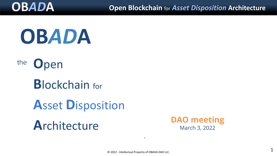





**B**lockchain for

**A**sset **D**isposition



`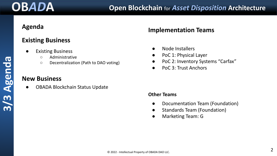## **Agenda**

## **Existing Business**

- **Existing Business** 
	- Administrative
	- Decentralization (Path to DAO voting)

## **New Business**

**OBADA Blockchain Status Update** 

## **Implementation Teams**

- Node Installers
- PoC 1: Physical Layer
- PoC 2: Inventory Systems "Carfax"
- PoC 3: Trust Anchors

### **Other Teams**

- Documentation Team (Foundation)
- Standards Team (Foundation)
- Marketing Team: G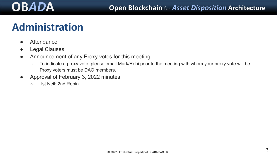# **Administration**

- Attendance
- Legal Clauses
- Announcement of any Proxy votes for this meeting
	- To indicate a proxy vote, please email Mark/Rohi prior to the meeting with whom your proxy vote will be. Proxy voters must be DAO members.
- Approval of February 3, 2022 minutes
	- 1st Neil: 2nd Robin.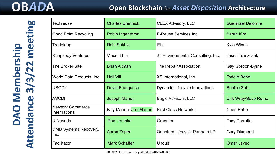## **OB***AD***A Open Blockchain** for *Asset Disposition* **Architecture**

| Techreuse                                | <b>Charles Brennick</b>         | <b>CELX Advisory, LLC</b>            | <b>Guennael Delorme</b> |
|------------------------------------------|---------------------------------|--------------------------------------|-------------------------|
| <b>Good Point Recycling</b>              | Robin Ingenthron                | E-Reuse Services Inc.                | Sarah Kim               |
| Tradeloop                                | Rohi Sukhia                     | iFixit                               | Kyle Wiens              |
| <b>Rhapsody Ventures</b>                 | Vincent Lui                     | JT Environmental Consulting, Inc.    | <b>Jason Teliszczak</b> |
| The Broker Site                          | <b>Brian Altman</b>             | The Repair Association               | Gay Gordon-Byrne        |
| World Data Products, Inc.                | <b>Neil Vill</b>                | XS International, Inc.               | <b>Todd A Bone</b>      |
| <b>USODY</b>                             | David Franquesa                 | <b>Dynamic Lifecycle Innovations</b> | <b>Bobbie Suhr</b>      |
| <b>ASCDI</b>                             | <b>Joseph Marion</b>            | Eagle Advisors, LLC                  | Dirk Wray/Seve Romo     |
| <b>Network Commerce</b><br>International | <b>Billy Marion- Joe Marion</b> | <b>First Class Networks</b>          | Craig Rabe              |
| U Nevada                                 | <b>Ron Lembke</b>               | Greentec                             | <b>Tony Perrotta</b>    |
| DMD Systems Recovery,<br>Inc.            | <b>Aaron Zeper</b>              | Quantum Lifecycle Partners LP        | <b>Gary Diamond</b>     |
| Facilitator                              | <b>Mark Schaffer</b>            | Unduit                               | <b>Omar Javed</b>       |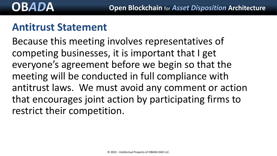## **Antitrust Statement**

Because this meeting involves representatives of competing businesses, it is important that I get everyone's agreement before we begin so that the meeting will be conducted in full compliance with antitrust laws. We must avoid any comment or action that encourages joint action by participating firms to restrict their competition.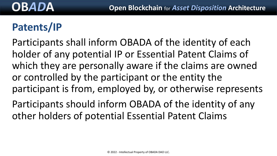# **Patents/IP**

Participants shall inform OBADA of the identity of each holder of any potential IP or Essential Patent Claims of which they are personally aware if the claims are owned or controlled by the participant or the entity the participant is from, employed by, or otherwise represents

Participants should inform OBADA of the identity of any other holders of potential Essential Patent Claims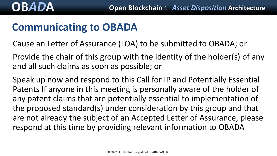# **Communicating to OBADA**

Cause an Letter of Assurance (LOA) to be submitted to OBADA; or

Provide the chair of this group with the identity of the holder(s) of any and all such claims as soon as possible; or

Speak up now and respond to this Call for IP and Potentially Essential Patents If anyone in this meeting is personally aware of the holder of any patent claims that are potentially essential to implementation of the proposed standard(s) under consideration by this group and that are not already the subject of an Accepted Letter of Assurance, please respond at this time by providing relevant information to OBADA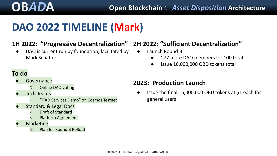# **DAO 2022 TIMELINE (Mark)**

## **1H 2022: "Progressive Decentralization" 2H 2022: "Sufficient Decentralization"**

● DAO is current run by foundation, facilitated by Mark Schaffer

- Launch Round B
	- $\sim$ 77 more DAO members for 100 total
	- Issue 16,000,000 OBD tokens total

## **To do**

- **Governance** 
	- Online DAO voting
- **Tech Teams** 
	- "ITAD Services Demo" on Cosmos Testnet
- **Standard & Legal Docs** 
	- Draft of Standard
	- Platform Agreement
- **Marketing** 
	- Plan for Round B Rollout

## **2023: Production Launch**

● Issue the final 16,000,000 OBD tokens at \$1 each for general users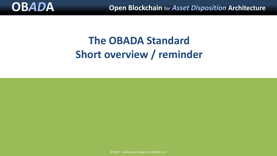

# **The OBADA Standard Short overview / reminder**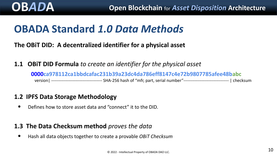# **OBADA Standard** *1.0 Data Methods*

**The OBiT DID: A decentralized identifier for a physical asset**

**1.1 OBiT DID Formula** *to create an identifier for the physical asset*

**0000ca978112ca1bbdcafac231b39a23dc4da786eff8147c4e72b9807785afee48babc** version| ------------------------------------ SHA-256 hash of "mfr, part, serial number"-------------------------------- | checksum

### **1.2 IPFS Data Storage Methodology**

• Defines how to store asset data and "connect" it to the DID.

## **1.3 The Data Checksum method** *proves the data*

• Hash all data objects together to create a provable *OBiT Checksum*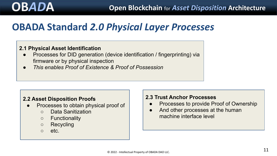## **OBADA Standard** *2.0 Physical Layer Processes*

### **2.1 Physical Asset Identification**

- Processes for DID generation (device identification / fingerprinting) via firmware or by physical inspection
- *● This enables Proof of Existence & Proof of Possession*

### **2.2 Asset Disposition Proofs**

- Processes to obtain physical proof of
	- Data Sanitization
	- Functionality
	- Recycling
	- etc.

### **2.3 Trust Anchor Processes**

- Processes to provide Proof of Ownership
- And other processes at the human machine interface level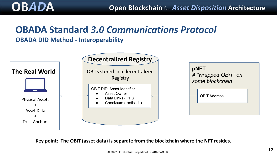# **OBADA Standard** *3.0 Communications Protocol*

### **OBADA DID Method - Interoperability**



**Key point: The OBiT (asset data) is separate from the blockchain where the NFT resides.**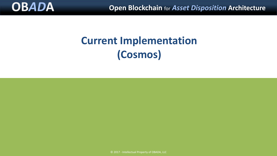

# **Current Implementation (Cosmos)**

© 2017 - Intellectual Property of OBADA, LLC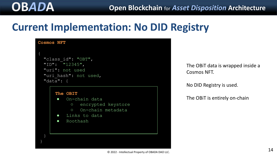## **Current Implementation: No DID Registry**

```
Cosmos NFT
 "class_id": "OBT",
 "ID": "12345",
 "uri": not used
"uri hash": not used,
 "data": {
    The OBIT 
     ● On-chain data
          ○ encrypted keystore
          ○ On-chain metadata 
     ● Links to data
     ● Roothash
```
The OBiT data is wrapped inside a Cosmos NFT.

No DID Registry is used.

The OBiT is entirely on-chain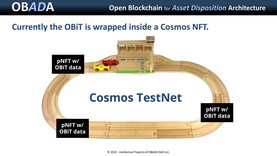## **Currently the OBiT is wrapped inside a Cosmos NFT.**

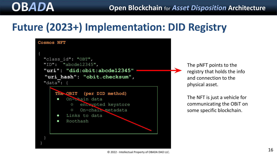# **Future (2023+) Implementation: DID Registry**



The pNFT points to the registry that holds the info and connection to the physical asset.

The NFT is just a vehicle for communicating the OBiT on some specific blockchain.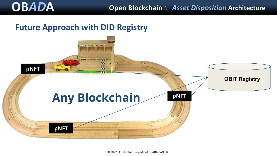## **Future Approach with DID Registry**

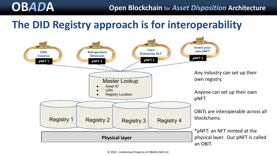# **OB***AD***A Open Blockchain** for *Asset Disposition* **Architecture**

# **The DID Registry approach is for interoperability**

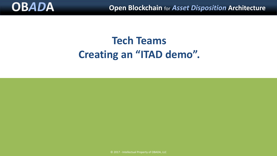

# **Tech Teams Creating an "ITAD demo".**

© 2017 - Intellectual Property of OBADA, LLC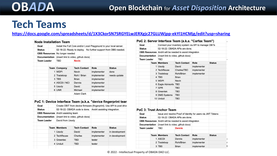# **Tech Teams**

### **<https://docs.google.com/spreadsheets/d/1X3CkorSN7SRGYELwJERXgjc27GLUWjpp-ekYl1HCMjg/edit?usp=sharing>**

| <b>Node Installation Team</b> |  |
|-------------------------------|--|
|-------------------------------|--|

|  | Goal                                         |  |                                                                | Install the Full Core and/or Local Playground to your local server. |             |               |  |
|--|----------------------------------------------|--|----------------------------------------------------------------|---------------------------------------------------------------------|-------------|---------------|--|
|  | <b>Status</b>                                |  | 02-18-22: Ready to deploy. No further support from OBS needed. |                                                                     |             |               |  |
|  | <b>OBS Resources</b><br><b>Documentation</b> |  | No longer needed<br>(insert link to video, github docs)        |                                                                     |             |               |  |
|  |                                              |  |                                                                |                                                                     |             |               |  |
|  | Team Leader                                  |  | TBD                                                            | <b>Nevin</b>                                                        |             |               |  |
|  |                                              |  |                                                                |                                                                     |             |               |  |
|  |                                              |  | <b>Team Company</b>                                            | <b>Tech Contact</b>                                                 | Role        | <b>Status</b> |  |
|  |                                              |  | 1 WDPI                                                         | Nevin                                                               | implementer | done          |  |
|  |                                              |  | 2 Tradeloop                                                    | Rohi / Brian                                                        | implementer | needs update  |  |
|  |                                              |  | 3 TBS                                                          | <b>Brian</b>                                                        | implementer |               |  |
|  |                                              |  | 4 ASCDI / NCI                                                  | Dennis                                                              | implementer |               |  |
|  |                                              |  | 5 Usody                                                        | David                                                               | implementer |               |  |
|  |                                              |  | 6 UNR                                                          | Michael                                                             | implementer |               |  |
|  |                                              |  |                                                                | Adam Clark                                                          |             |               |  |
|  |                                              |  |                                                                |                                                                     |             |               |  |

### PoC 1: Device Interface Team (a.k.a. "device fingerprint tean

|  | Goal                                       |  | Create OBIT from device firmware (fingerprint). Use API to post drive                                 |                                                             |             |                |  |  |
|--|--------------------------------------------|--|-------------------------------------------------------------------------------------------------------|-------------------------------------------------------------|-------------|----------------|--|--|
|  | <b>Status</b>                              |  |                                                                                                       | 02-18-22: OBADA code is done. Andrii assisting integration. |             |                |  |  |
|  | <b>Documentation</b><br><b>Team Leader</b> |  | <b>OBS Resources</b> Andrii assisting team<br>(insert link to video, github docs)<br>David from Usody |                                                             |             |                |  |  |
|  |                                            |  |                                                                                                       |                                                             |             |                |  |  |
|  |                                            |  |                                                                                                       |                                                             |             |                |  |  |
|  |                                            |  |                                                                                                       |                                                             |             |                |  |  |
|  |                                            |  | <b>Team Members</b>                                                                                   | <b>Tech Contact</b>                                         | Role        | <b>Status</b>  |  |  |
|  |                                            |  | 1 Usody                                                                                               | David                                                       | implementer | in development |  |  |
|  |                                            |  | 2 TechReuse                                                                                           | Charles                                                     | implementer | in development |  |  |
|  |                                            |  | 3 Greentec                                                                                            | <b>TBD</b>                                                  | tester      |                |  |  |
|  |                                            |  | 4 Unduit                                                                                              | <b>TBD</b>                                                  | tester      |                |  |  |
|  |                                            |  |                                                                                                       |                                                             |             |                |  |  |

|  |                                                                                                                              |  |                                     | PoC 2: Server Interface Team (a.k.a. "Carfax Team")          |             |                                                       |   |  |
|--|------------------------------------------------------------------------------------------------------------------------------|--|-------------------------------------|--------------------------------------------------------------|-------------|-------------------------------------------------------|---|--|
|  | Goal                                                                                                                         |  |                                     |                                                              |             | Connect your inventory system via API to manage OBITs |   |  |
|  | <b>Status</b>                                                                                                                |  |                                     | 02-18-22: OBADA APIs are done.                               |             |                                                       |   |  |
|  | <b>OBS Resources</b> Andrii will be needed to assist integration                                                             |  |                                     |                                                              |             |                                                       |   |  |
|  | <b>Documentation</b>                                                                                                         |  | (insert link to video, github docs) |                                                              |             |                                                       |   |  |
|  | <b>Team Leader</b>                                                                                                           |  | <b>TRD</b>                          |                                                              |             |                                                       |   |  |
|  |                                                                                                                              |  | <b>Team Members</b>                 | <b>Tech Contact</b>                                          | Role        | <b>Status</b>                                         |   |  |
|  |                                                                                                                              |  | 1 Usody                             | David                                                        | implementer |                                                       |   |  |
|  |                                                                                                                              |  | 2 TechReuse                         | Charles/TBD                                                  | implementer |                                                       |   |  |
|  |                                                                                                                              |  | 3 Tradeloop                         | Rohi/Brian                                                   | implementer |                                                       |   |  |
|  |                                                                                                                              |  | 4 TBS                               | <b>Brian</b>                                                 |             |                                                       |   |  |
|  |                                                                                                                              |  | 5 WDPI                              | Nevin                                                        |             |                                                       |   |  |
|  |                                                                                                                              |  | 6 Eagle Advisorts                   | <b>TBD</b>                                                   |             |                                                       |   |  |
|  |                                                                                                                              |  | 7 GPR                               | TBD                                                          |             |                                                       |   |  |
|  |                                                                                                                              |  | 8 Greentek                          | <b>TBD</b>                                                   |             |                                                       |   |  |
|  |                                                                                                                              |  | 9 DMD Systems                       | <b>TBD</b>                                                   |             |                                                       |   |  |
|  |                                                                                                                              |  | 10 Unduit                           | <b>TBD</b>                                                   |             |                                                       |   |  |
|  |                                                                                                                              |  |                                     |                                                              |             |                                                       |   |  |
|  |                                                                                                                              |  |                                     |                                                              |             |                                                       |   |  |
|  |                                                                                                                              |  | PoC 3: Trust Anchor Team            |                                                              |             |                                                       |   |  |
|  | Goal                                                                                                                         |  |                                     | Issue and resolve Proof of Identity for users via JWT Tokens |             |                                                       |   |  |
|  | <b>Status</b>                                                                                                                |  |                                     | 02-18-22: OBADA APIs are done.                               |             |                                                       |   |  |
|  | <b>OBS Resources</b> Andrii will be needed to assist integration<br><b>Documentation</b><br><b>Team Leader</b><br><b>TBD</b> |  |                                     |                                                              |             |                                                       |   |  |
|  |                                                                                                                              |  |                                     | (insert link to video, github docs)                          |             |                                                       |   |  |
|  |                                                                                                                              |  |                                     | <b>Dennis</b>                                                |             |                                                       |   |  |
|  |                                                                                                                              |  |                                     |                                                              |             |                                                       |   |  |
|  |                                                                                                                              |  | <b>Team Members</b>                 | <b>Tech Contact</b>                                          | Role        | <b>Status</b>                                         |   |  |
|  |                                                                                                                              |  | 1 ASCDI                             | Dennis                                                       | implementer |                                                       |   |  |
|  |                                                                                                                              |  | 2 Tradeloop                         | Rohi/Brian                                                   | implementer |                                                       | ı |  |
|  |                                                                                                                              |  | 3 TBS                               | <b>Brian</b>                                                 | implementer |                                                       |   |  |

© 2022 - Intellectual Property of OBADA DAO LLC.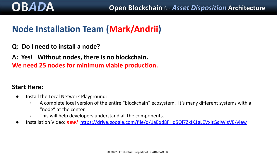## **Node Installation Team (Mark/Andrii)**

### **Q: Do I need to install a node?**

**A: Yes! Without nodes, there is no blockchain. We need 25 nodes for minimum viable production.**

### **Start Here:**

- Install the Local Network Playground:
	- A complete local version of the entire "blockchain" ecosystem. It's many different systems with a "node" at the center.
	- This will help developers understand all the components.
- Installation Video: *new!* <https://drive.google.com/file/d/1aEqd8FHd5Oi7ZkIK1gLEVxItGglWlsVE/view>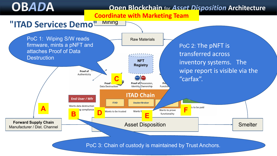## **OB***AD***A Open Blockchain** for *Asset Disposition* **Architecture Coordinate with Marketing Team**

## **"ITAD Services Demo"**



Mining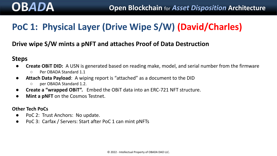## **PoC 1: Physical Layer (Drive Wipe S/W) (David/Charles)**

## **Drive wipe S/W mints a pNFT and attaches Proof of Data Destruction**

### **Steps**

- **Create OBIT DID:** A USN is generated based on reading make, model, and serial number from the firmware
	- Per OBADA Standard 1.1
- **Attach Data Payload**: A wiping report is "attached" as a document to the DID
	- per OBADA Standard 1.2.
- **Create a "wrapped OBiT".** Embed the OBiT data into an ERC-721 NFT structure.
- **Mint a pNFT** on the Cosmos Testnet.

### **Other Tech PoCs**

- PoC 2: Trust Anchors: No update.
- PoC 3: Carfax / Servers: Start after PoC 1 can mint pNFTs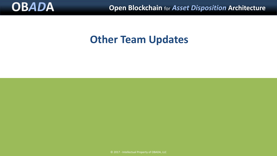

## **Other Team Updates**

© 2017 - Intellectual Property of OBADA, LLC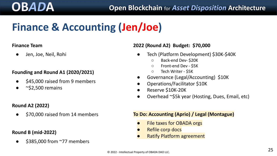# **Finance & Accounting (Jen/Joe)**

### **Finance Team**

● Jen, Joe, Neil, Rohi

### **Founding and Round A1 (2020/2021)**

- \$45,000 raised from 9 members
- $\bullet$  ~\$2,500 remains

### **Round A2 (2022)**

● \$70,000 raised from 14 members

### **Round B (mid-2022)**

\$385,000 from ~77 members

### **2022 (Round A2) Budget: \$70,000**

- Tech (Platform Development) \$30K-\$40K
	- Back-end Dev- \$20K
	- Front-end Dev \$5K
	- Tech Writer \$5K
- Governance (Legal/Accounting) \$10K
- Operations/Facilitator \$10K
- Reserve \$10K-20K
- Overhead ~\$5k year (Hosting, Dues, Email, etc)

### **To Do: Accounting (Aprio) / Legal (Montague)**

- File taxes for OBADA orgs
- **Refile corp docs**
- **Ratify Platform agreement**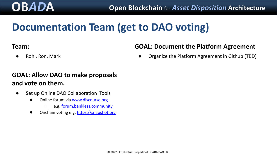# **OB***AD***A Open Blockchain** for *Asset Disposition* **Architecture**

# **Documentation Team (get to DAO voting)**

## **Team:**

## **GOAL: Document the Platform Agreement**

● Rohi, Ron, Mark

Organize the Platform Agreement in Github (TBD)

## **GOAL: Allow DAO to make proposals and vote on them.**

- Set up Online DAO Collaboration Tools
	- Online forum via [www.discourse.org](https://www.discourse.org/)
		- e.g. [forum.bankless.community](https://forum.bankless.community/categories)
	- Onchain voting e.g. [https://snapshot.org](https://snapshot.org/#/ens.eth)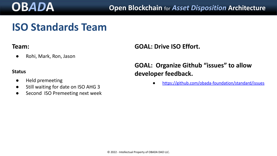# **ISO Standards Team**

## **Team:**

● Rohi, Mark, Ron, Jason

### **Status**

- Held premeeting
- Still waiting for date on ISO AHG 3
- Second ISO Premeeting next week

**GOAL: Drive ISO Effort.**

## **GOAL: Organize Github "issues" to allow developer feedback.**

● <https://github.com/obada-foundation/standard/issues>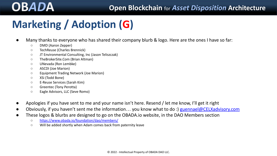# **Marketing / Adoption (G)**

- Many thanks to everyone who has shared their company blurb & logo. Here are the ones I have so far:
	- DMD (Aaron Zepper)
	- TechReuse (Charles Brennick)
	- JT Environmental Consulting, Inc (Jason Teliszczak)
	- TheBrokerSite.Com (Brian Altman)
	- UNevada (Ron Lembke)
	- ASCDI (Joe Marion)
	- Equipment Trading Network (Joe Marion)
	- XSi (Todd Bone)
	- E-Reuse Services (Sarah Kim)
	- Greentec (Tony Perotta)
	- Eagle Advisors, LLC (Seve Romo)
- Apologies if you have sent to me and your name isn't here. Resend / let me know, I'll get it right
- Obviously, if you haven't sent me the information... you know what to do :) [guennael@CELXadvisory.com](mailto:guennael@CELXadvisory.com)
- These logos & blurbs are designed to go on the OBADA.io website, in the DAO Members section
	- <https://www.obada.io/foundation/dao/members/>
	- Will be added shortly when Adam comes back from paternity leave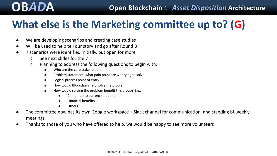# **What else is the Marketing committee up to? (G)**

- We are developing scenarios and creating case studies
- Will be used to help tell our story and go after Round B
- 7 scenarios were identified initially, but open for more
	- See next slides for the 7
	- Planning to address the following questions to begin with:
		- Who are the core stakeholders
		- Problem statement: what pain point are we trying to solve
		- Logical process point of entry
		- How would Blockchain help solve the problem
		- How would solving the problem benefit this group? E.g.,
			- Compared to current solutions
			- Financial benefits
			- **Others**
- The committee now has its own Google workspace + Slack channel for communication, and standing bi-weekly meetings
- Thanks to those of you who have offered to help, we would be happy to see more volunteers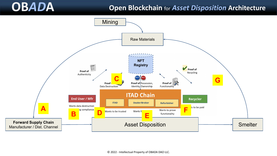## **OB***AD***A Open Blockchain** for *Asset Disposition* **Architecture**

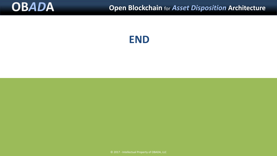

**END**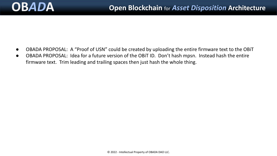- OBADA PROPOSAL: A "Proof of USN" could be created by uploading the entire firmware text to the OBiT
- OBADA PROPOSAL: Idea for a future version of the OBiT ID. Don't hash mpsn. Instead hash the entire firmware text. Trim leading and trailing spaces then just hash the whole thing.